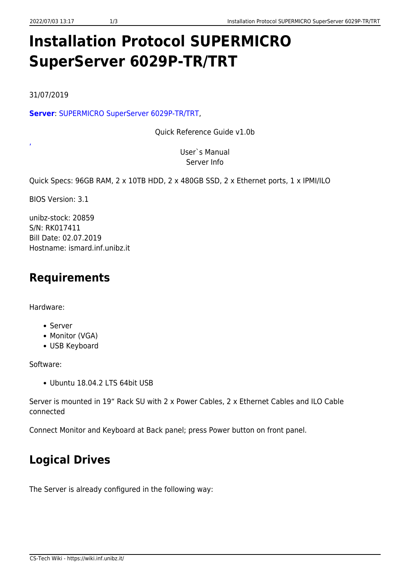# **Installation Protocol SUPERMICRO SuperServer 6029P-TR/TRT**

31/07/2019

[,](https://wiki.inf.unibz.it/lib/exe/fetch.php?media=public:mnl-1918_v1.0c.pdf)

**[Server](https://wiki.inf.unibz.it/lib/exe/fetch.php?media=public:qrg-1918_v1.0b.pdf)**: [SUPERMICRO SuperServer 6029P-TR/TRT](https://www.supermicro.com/en/products/system/2U/6029/SYS-6029P-TR.cfm),

Quick Reference Guide v1.0b

User`s Manual Server Info

Quick Specs: 96GB RAM, 2 x 10TB HDD, 2 x 480GB SSD, 2 x Ethernet ports, 1 x IPMI/ILO

BIOS Version: 3.1

unibz-stock: 20859 S/N: RK017411 Bill Date: 02.07.2019 Hostname: ismard.inf.unibz.it

## **Requirements**

Hardware:

- Server
- Monitor (VGA)
- USB Keyboard

Software:

Ubuntu 18.04.2 LTS 64bit USB

Server is mounted in 19" Rack SU with 2 x Power Cables, 2 x Ethernet Cables and ILO Cable connected

Connect Monitor and Keyboard at Back panel; press Power button on front panel.

# **Logical Drives**

The Server is already configured in the following way: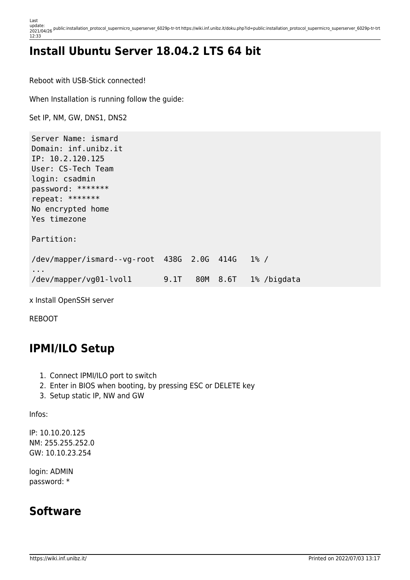Last update:<br>2021/04/26 <sup>public:installation\_protocol\_supermicro\_superserver\_6029p-tr-trt https://wiki.inf.unibz.it/doku.php?id=public:installation\_protocol\_supermicro\_superserver\_6029p-tr-trt</sup> 12:33

# **Install Ubuntu Server 18.04.2 LTS 64 bit**

Reboot with USB-Stick connected!

When Installation is running follow the guide:

Set IP, NM, GW, DNS1, DNS2

Server Name: ismard Domain: inf.unibz.it IP: 10.2.120.125 User: CS-Tech Team login: csadmin password: \*\*\*\*\*\*\* repeat: \*\*\*\*\*\*\* No encrypted home Yes timezone Partition: /dev/mapper/ismard--vg-root 438G 2.0G 414G 1% / ... /dev/mapper/vg01-lvol1 9.1T 80M 8.6T 1% /bigdata

x Install OpenSSH server

REBOOT

### **IPMI/ILO Setup**

- 1. Connect IPMI/ILO port to switch
- 2. Enter in BIOS when booting, by pressing ESC or DELETE key
- 3. Setup static IP, NW and GW

Infos:

IP: 10.10.20.125 NM: 255.255.252.0 GW: 10.10.23.254

login: ADMIN password: \*

#### **Software**